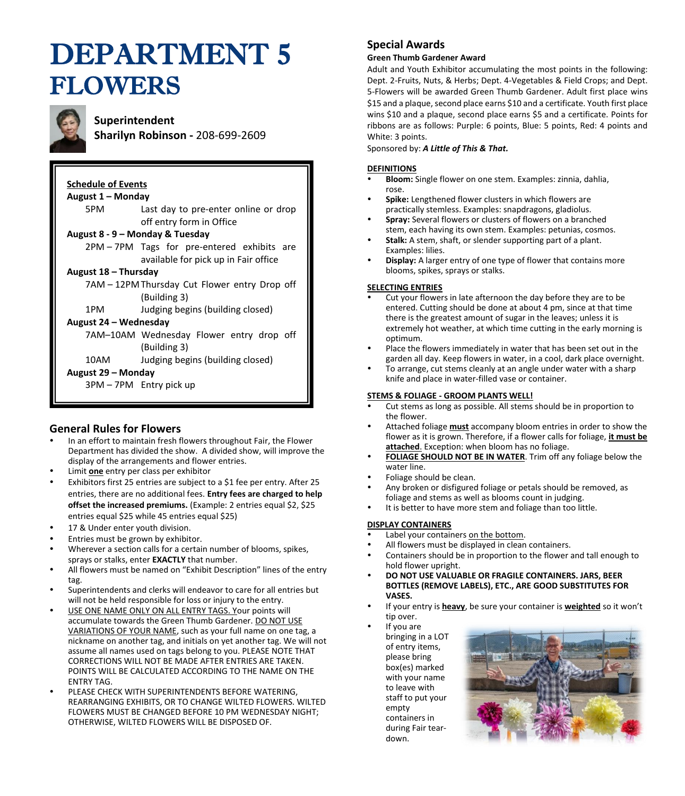# DEPARTMENT 5 FLOWERS



# **Superintendent**

**Sharilyn Robinson -** 208-699-2609

# **Schedule of Events August 1 – Monday** 5PM Last day to pre-enter online or drop off entry form in Office **August 8 - 9 – Monday & Tuesday** 2PM – 7PM Tags for pre-entered exhibits are available for pick up in Fair office **August 18 – Thursday** 7AM – 12PMThursday Cut Flower entry Drop off (Building 3) 1PM Judging begins (building closed) **August 24 – Wednesday** 7AM–10AM Wednesday Flower entry drop off (Building 3) 10AM Judging begins (building closed) **August 29 – Monday** 3PM – 7PM Entry pick up

# **General Rules for Flowers**

- In an effort to maintain fresh flowers throughout Fair, the Flower Department has divided the show. A divided show, will improve the display of the arrangements and flower entries.
- Limit **one** entry per class per exhibitor
- Exhibitors first 25 entries are subject to a \$1 fee per entry. After 25 entries, there are no additional fees. **Entry fees are charged to help offset the increased premiums.** (Example: 2 entries equal \$2, \$25 entries equal \$25 while 45 entries equal \$25)
- 17 & Under enter youth division.
- Entries must be grown by exhibitor.
- Wherever a section calls for a certain number of blooms, spikes, sprays or stalks, enter **EXACTLY** that number.
- All flowers must be named on "Exhibit Description" lines of the entry tag.
- Superintendents and clerks will endeavor to care for all entries but will not be held responsible for loss or injury to the entry.
- USE ONE NAME ONLY ON ALL ENTRY TAGS. Your points will accumulate towards the Green Thumb Gardener. DO NOT USE VARIATIONS OF YOUR NAME, such as your full name on one tag, a nickname on another tag, and initials on yet another tag. We will not assume all names used on tags belong to you. PLEASE NOTE THAT CORRECTIONS WILL NOT BE MADE AFTER ENTRIES ARE TAKEN. POINTS WILL BE CALCULATED ACCORDING TO THE NAME ON THE ENTRY TAG.
- PLEASE CHECK WITH SUPERINTENDENTS BEFORE WATERING, REARRANGING EXHIBITS, OR TO CHANGE WILTED FLOWERS. WILTED FLOWERS MUST BE CHANGED BEFORE 10 PM WEDNESDAY NIGHT; OTHERWISE, WILTED FLOWERS WILL BE DISPOSED OF.

# **Special Awards**

# **Green Thumb Gardener Award**

Adult and Youth Exhibitor accumulating the most points in the following: Dept. 2-Fruits, Nuts, & Herbs; Dept. 4-Vegetables & Field Crops; and Dept. 5-Flowers will be awarded Green Thumb Gardener. Adult first place wins \$15 and a plaque, second place earns \$10 and a certificate. Youth first place wins \$10 and a plaque, second place earns \$5 and a certificate. Points for ribbons are as follows: Purple: 6 points, Blue: 5 points, Red: 4 points and White: 3 points.

Sponsored by: *A Little of This & That.*

# **DEFINITIONS**

- **Bloom:** Single flower on one stem. Examples: zinnia, dahlia, rose.
- **Spike:** Lengthened flower clusters in which flowers are practically stemless. Examples: snapdragons, gladiolus.
- **Spray:** Several flowers or clusters of flowers on a branched stem, each having its own stem. Examples: petunias, cosmos.
- **Stalk:** A stem, shaft, or slender supporting part of a plant. Examples: lilies.
- **Display:** A larger entry of one type of flower that contains more blooms, spikes, sprays or stalks.

# **SELECTING ENTRIES**

- Cut your flowers in late afternoon the day before they are to be entered. Cutting should be done at about 4 pm, since at that time there is the greatest amount of sugar in the leaves; unless it is extremely hot weather, at which time cutting in the early morning is optimum.
- Place the flowers immediately in water that has been set out in the garden all day. Keep flowers in water, in a cool, dark place overnight.
- To arrange, cut stems cleanly at an angle under water with a sharp knife and place in water-filled vase or container.

# **STEMS & FOLIAGE - GROOM PLANTS WELL!**

- Cut stems as long as possible. All stems should be in proportion to the flower.
- Attached foliage **must** accompany bloom entries in order to show the flower as it is grown. Therefore, if a flower calls for foliage, **it must be attached**. Exception: when bloom has no foliage.
- **FOLIAGE SHOULD NOT BE IN WATER**. Trim off any foliage below the water line.
- Foliage should be clean.
- Any broken or disfigured foliage or petals should be removed, as foliage and stems as well as blooms count in judging.
- It is better to have more stem and foliage than too little.

# **DISPLAY CONTAINERS**

- Label your containers on the bottom.
- All flowers must be displayed in clean containers.
- Containers should be in proportion to the flower and tall enough to hold flower upright.
- **DO NOT USE VALUABLE OR FRAGILE CONTAINERS. JARS, BEER BOTTLES (REMOVE LABELS), ETC., ARE GOOD SUBSTITUTES FOR VASES.**
- If your entry is **heavy**, be sure your container is **weighted** so it won't tip over.

 If you are bringing in a LOT of entry items, please bring box(es) marked with your name to leave with staff to put your empty containers in during Fair teardown.

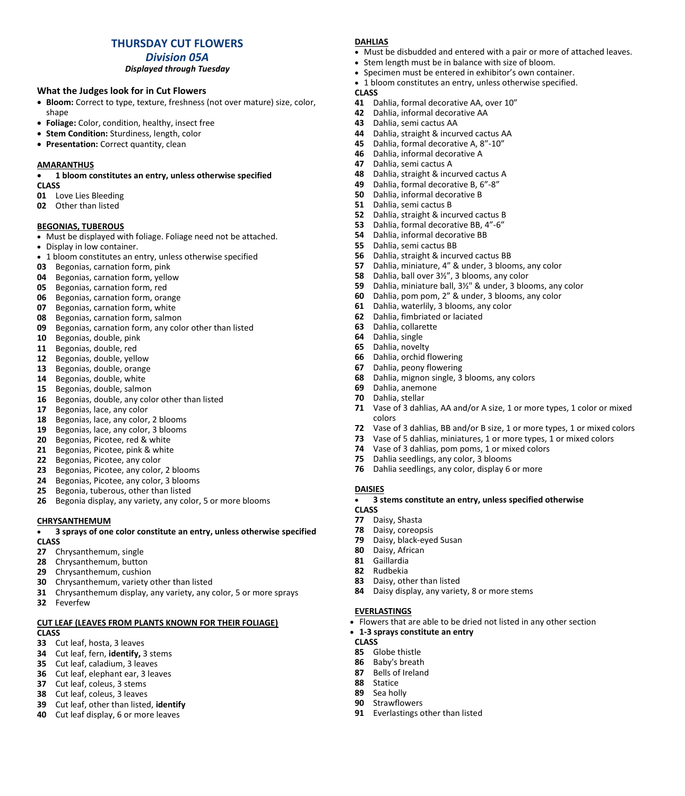# **THURSDAY CUT FLOWERS**

*Division 05A*

### *Displayed through Tuesday*

# **What the Judges look for in Cut Flowers**

- **Bloom:** Correct to type, texture, freshness (not over mature) size, color, shape
- **Foliage:** Color, condition, healthy, insect free
- **Stem Condition:** Sturdiness, length, color
- **Presentation:** Correct quantity, clean

### **AMARANTHUS**

• **1 bloom constitutes an entry, unless otherwise specified**

#### **CLASS**

- Love Lies Bleeding
- Other than listed

### **BEGONIAS, TUBEROUS**

- Must be displayed with foliage. Foliage need not be attached.
- Display in low container.
- 1 bloom constitutes an entry, unless otherwise specified
- Begonias, carnation form, pink
- **04** Begonias, carnation form, yellow<br>**05** Begonias, carnation form, red
- Begonias, carnation form, red
- Begonias, carnation form, orange
- Begonias, carnation form, white
- Begonias, carnation form, salmon
- Begonias, carnation form, any color other than listed
- Begonias, double, pink
- Begonias, double, red
- Begonias, double, yellow
- 13 Begonias, double, orange<br>14 Begonias, double, white
- Begonias, double, white
- Begonias, double, salmon
- Begonias, double, any color other than listed
- Begonias, lace, any color
- Begonias, lace, any color, 2 blooms
- **19** Begonias, lace, any color, 3 blooms<br>**20** Begonias, Picotee, red & white
- **20** Begonias, Picotee, red & white<br>**21** Begonias, Picotee, pink & white
- Begonias, Picotee, pink & white
- Begonias, Picotee, any color
- Begonias, Picotee, any color, 2 blooms
- Begonias, Picotee, any color, 3 blooms
- Begonia, tuberous, other than listed
- Begonia display, any variety, any color, 5 or more blooms

### **CHRYSANTHEMUM**

#### • **3 sprays of one color constitute an entry, unless otherwise specified CLASS**

- Chrysanthemum, single
- Chrysanthemum, button
- Chrysanthemum, cushion
- Chrysanthemum, variety other than listed
- Chrysanthemum display, any variety, any color, 5 or more sprays
- Feverfew

# **CUT LEAF (LEAVES FROM PLANTS KNOWN FOR THEIR FOLIAGE)**

# **CLASS**

- Cut leaf, hosta, 3 leaves
- Cut leaf, fern, **identify,** 3 stems
- Cut leaf, caladium, 3 leaves
- Cut leaf, elephant ear, 3 leaves
- Cut leaf, coleus, 3 stems
- Cut leaf, coleus, 3 leaves
- Cut leaf, other than listed, **identify**
- Cut leaf display, 6 or more leaves

# **DAHLIAS**

- Must be disbudded and entered with a pair or more of attached leaves.
- Stem length must be in balance with size of bloom.
- Specimen must be entered in exhibitor's own container.
- 1 bloom constitutes an entry, unless otherwise specified.
- **CLASS**
- Dahlia, formal decorative AA, over 10"
- Dahlia, informal decorative AA
- Dahlia, semi cactus AA
- Dahlia, straight & incurved cactus AA
- Dahlia, formal decorative A, 8"-10"
- Dahlia, informal decorative A
- Dahlia, semi cactus A
- Dahlia, straight & incurved cactus A
- Dahlia, formal decorative B, 6"-8"
- Dahlia, informal decorative B
- Dahlia, semi cactus B
- Dahlia, straight & incurved cactus B
- Dahlia, formal decorative BB, 4"-6"
- Dahlia, informal decorative BB
- Dahlia, semi cactus BB
- **56** Dahlia, straight & incurved cactus BB<br>**57** Dahlia, miniature, 4" & under, 3 bloo
- Dahlia, miniature, 4" & under, 3 blooms, any color
- Dahlia, ball over 3½", 3 blooms, any color
- Dahlia, miniature ball, 3½" & under, 3 blooms, any color
- Dahlia, pom pom, 2" & under, 3 blooms, any color
- Dahlia, waterlily, 3 blooms, any color
- Dahlia, fimbriated or laciated
- Dahlia, collarette
- Dahlia, single
- Dahlia, novelty
- Dahlia, orchid flowering
- Dahlia, peony flowering
- Dahlia, mignon single, 3 blooms, any colors
- Dahlia, anemone
- Dahlia, stellar

**DAISIES**

**CLASS**

 Daisy, Shasta Daisy, coreopsis Daisy, black-eyed Susan

 Daisy, African Gaillardia Rudbekia

**EVERLASTINGS**

 Globe thistle Baby's breath Bells of Ireland

 Statice Sea holly Strawflowers

**CLASS**

Daisy, other than listed

• **1-3 sprays constitute an entry**

Everlastings other than listed

- Vase of 3 dahlias, AA and/or A size, 1 or more types, 1 color or mixed colors
- Vase of 3 dahlias, BB and/or B size, 1 or more types, 1 or mixed colors
- Vase of 5 dahlias, miniatures, 1 or more types, 1 or mixed colors
- Vase of 3 dahlias, pom poms, 1 or mixed colors

• **3 stems constitute an entry, unless specified otherwise**

• Flowers that are able to be dried not listed in any other section

Dahlia seedlings, any color, 3 blooms

Dahlia seedlings, any color, display 6 or more

Daisy display, any variety, 8 or more stems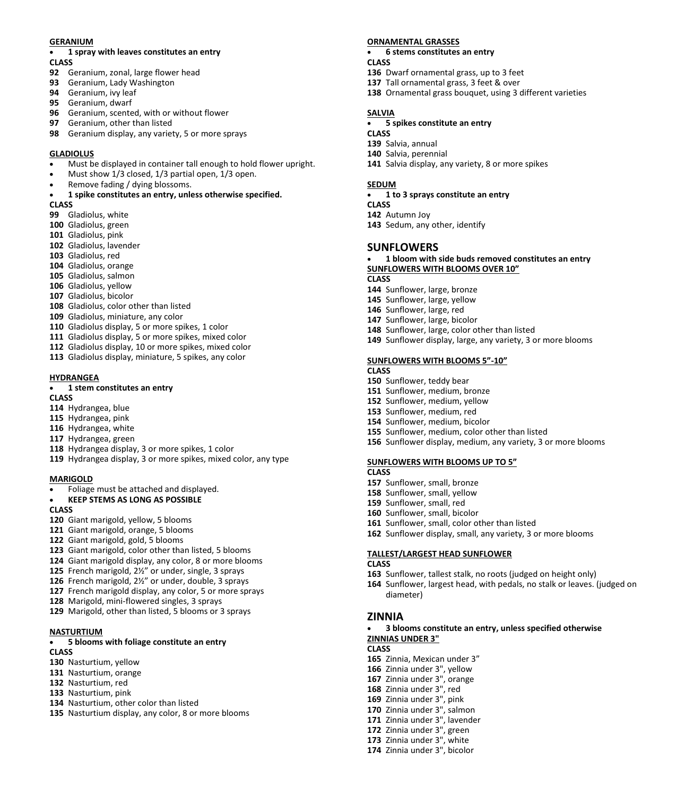#### **GERANIUM**

# • **1 spray with leaves constitutes an entry**

- **CLASS**
- Geranium, zonal, large flower head
- Geranium, Lady Washington
- Geranium, ivy leaf
- Geranium, dwarf
- Geranium, scented, with or without flower
- Geranium, other than listed
- Geranium display, any variety, 5 or more sprays

#### **GLADIOLUS**

- Must be displayed in container tall enough to hold flower upright.
- Must show 1/3 closed, 1/3 partial open, 1/3 open.
- Remove fading / dying blossoms.

# • **1 spike constitutes an entry, unless otherwise specified.**

# **CLASS**

- Gladiolus, white
- Gladiolus, green
- Gladiolus, pink
- Gladiolus, lavender
- Gladiolus, red
- Gladiolus, orange
- Gladiolus, salmon
- Gladiolus, yellow
- Gladiolus, bicolor
- Gladiolus, color other than listed
- Gladiolus, miniature, any color
- Gladiolus display, 5 or more spikes, 1 color
- Gladiolus display, 5 or more spikes, mixed color
- Gladiolus display, 10 or more spikes, mixed color
- Gladiolus display, miniature, 5 spikes, any color

#### **HYDRANGEA**

# • **1 stem constitutes an entry**

#### **CLASS**

- Hydrangea, blue
- Hydrangea, pink
- Hydrangea, white
- Hydrangea, green
- Hydrangea display, 3 or more spikes, 1 color
- Hydrangea display, 3 or more spikes, mixed color, any type

#### **MARIGOLD**

• Foliage must be attached and displayed.

#### • **KEEP STEMS AS LONG AS POSSIBLE**

#### **CLASS**

- Giant marigold, yellow, 5 blooms
- Giant marigold, orange, 5 blooms
- Giant marigold, gold, 5 blooms
- Giant marigold, color other than listed, 5 blooms
- Giant marigold display, any color, 8 or more blooms
- French marigold, 2½" or under, single, 3 sprays
- French marigold, 2½" or under, double, 3 sprays
- French marigold display, any color, 5 or more sprays
- Marigold, mini-flowered singles, 3 sprays
- Marigold, other than listed, 5 blooms or 3 sprays

### **NASTURTIUM**

#### • **5 blooms with foliage constitute an entry**

#### **CLASS**

- Nasturtium, yellow
- Nasturtium, orange
- Nasturtium, red
- Nasturtium, pink
- Nasturtium, other color than listed
- Nasturtium display, any color, 8 or more blooms

#### **ORNAMENTAL GRASSES**

- **6 stems constitutes an entry CLASS**
- Dwarf ornamental grass, up to 3 feet
- Tall ornamental grass, 3 feet & over
- Ornamental grass bouquet, using 3 different varieties

### **SALVIA**

- **5 spikes constitute an entry**
- **CLASS**
- Salvia, annual
- Salvia, perennial
- Salvia display, any variety, 8 or more spikes

### **SEDUM**

- **1 to 3 sprays constitute an entry**
- **CLASS**
- Autumn Joy
- Sedum, any other, identify

### **SUNFLOWERS**

• **1 bloom with side buds removed constitutes an entry SUNFLOWERS WITH BLOOMS OVER 10"** 

### **CLASS**

- Sunflower, large, bronze
- Sunflower, large, yellow
- Sunflower, large, red
- Sunflower, large, bicolor
- Sunflower, large, color other than listed
- Sunflower display, large, any variety, 3 or more blooms

#### **SUNFLOWERS WITH BLOOMS 5"-10"**

#### **CLASS**

- Sunflower, teddy bear
- Sunflower, medium, bronze
- Sunflower, medium, yellow
- Sunflower, medium, red
- Sunflower, medium, bicolor
- Sunflower, medium, color other than listed
- Sunflower display, medium, any variety, 3 or more blooms

Sunflower display, small, any variety, 3 or more blooms

Sunflower, tallest stalk, no roots (judged on height only)

Sunflower, largest head, with pedals, no stalk or leaves. (judged on

• **3 blooms constitute an entry, unless specified otherwise**

# **SUNFLOWERS WITH BLOOMS UP TO 5"**

Sunflower, small, color other than listed

**TALLEST/LARGEST HEAD SUNFLOWER**

#### **CLASS**

**CLASS** 

**ZINNIA**

**CLASS**

 Sunflower, small, bronze Sunflower, small, yellow

 Sunflower, small, red Sunflower, small, bicolor

diameter)

**ZINNIAS UNDER 3"**

 Zinnia, Mexican under 3" Zinnia under 3", yellow Zinnia under 3", orange Zinnia under 3", red Zinnia under 3", pink Zinnia under 3", salmon Zinnia under 3", lavender Zinnia under 3", green Zinnia under 3", white Zinnia under 3", bicolor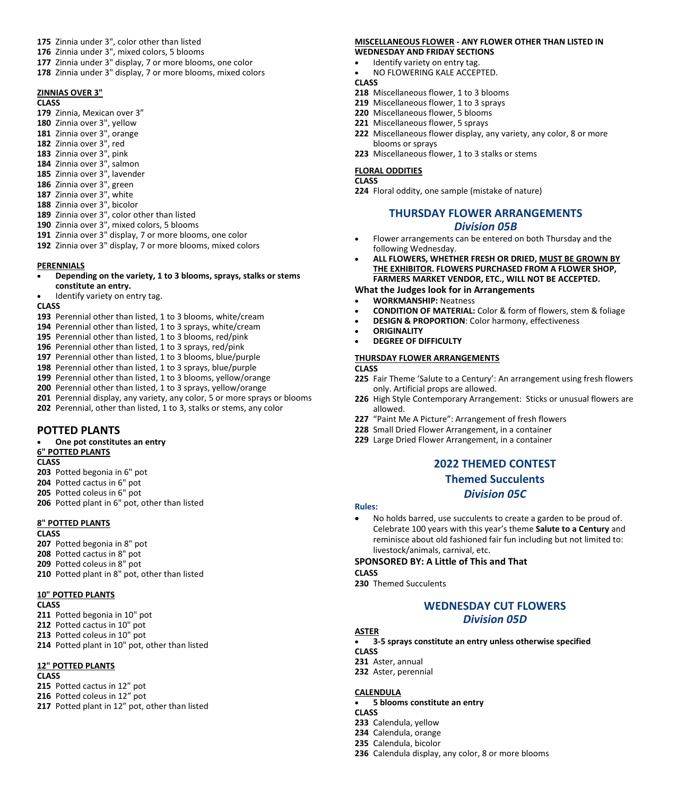- **175** Zinnia under 3", color other than listed
- **176** Zinnia under 3", mixed colors, 5 blooms
- **177** Zinnia under 3" display, 7 or more blooms, one color
- **178** Zinnia under 3" display, 7 or more blooms, mixed colors

#### **ZINNIAS OVER 3"**

#### **CLASS**

- **179** Zinnia, Mexican over 3"
- **180** Zinnia over 3", yellow
- **181** Zinnia over 3", orange
- **182** Zinnia over 3", red
- **183** Zinnia over 3", pink
- **184** Zinnia over 3", salmon
- **185** Zinnia over 3", lavender
- **186** Zinnia over 3", green
- **187** Zinnia over 3", white
- **188** Zinnia over 3", bicolor
- **189** Zinnia over 3", color other than listed
- **190** Zinnia over 3", mixed colors, 5 blooms
- **191** Zinnia over 3" display, 7 or more blooms, one color **192** Zinnia over 3" display, 7 or more blooms, mixed colors

#### **PERENNIALS**

- **Depending on the variety, 1 to 3 blooms, sprays, stalks or stems constitute an entry.**
- Identify variety on entry tag.

#### **CLASS**

- **193** Perennial other than listed, 1 to 3 blooms, white/cream
- **194** Perennial other than listed, 1 to 3 sprays, white/cream
- **195** Perennial other than listed, 1 to 3 blooms, red/pink
- **196** Perennial other than listed, 1 to 3 sprays, red/pink
- **197** Perennial other than listed, 1 to 3 blooms, blue/purple
- **198** Perennial other than listed, 1 to 3 sprays, blue/purple
- **199** Perennial other than listed, 1 to 3 blooms, yellow/orange
- **200** Perennial other than listed, 1 to 3 sprays, yellow/orange
- **201** Perennial display, any variety, any color, 5 or more sprays or blooms
- **202** Perennial, other than listed, 1 to 3, stalks or stems, any color

# **POTTED PLANTS**

• **One pot constitutes an entry**

# **6" POTTED PLANTS**

**CLASS**

- **203** Potted begonia in 6" pot
- **204** Potted cactus in 6" pot
- **205** Potted coleus in 6" pot
- **206** Potted plant in 6" pot, other than listed

#### **8" POTTED PLANTS**

#### **CLASS**

- **207** Potted begonia in 8" pot
- **208** Potted cactus in 8" pot
- **209** Potted coleus in 8" pot
- **210** Potted plant in 8" pot, other than listed

### **10" POTTED PLANTS**

**CLASS**

- **211** Potted begonia in 10" pot
- **212** Potted cactus in 10" pot
- **213** Potted coleus in 10" pot
- **214** Potted plant in 10" pot, other than listed

### **12" POTTED PLANTS**

#### **CLASS**

- **215** Potted cactus in 12" pot
- **216** Potted coleus in 12" pot
- **217** Potted plant in 12" pot, other than listed

#### **MISCELLANEOUS FLOWER - ANY FLOWER OTHER THAN LISTED IN WEDNESDAY AND FRIDAY SECTIONS**

- Identify variety on entry tag.
- NO FLOWERING KALE ACCEPTED.

#### **CLASS**

- **218** Miscellaneous flower, 1 to 3 blooms
- **219** Miscellaneous flower, 1 to 3 sprays
- **220** Miscellaneous flower, 5 blooms
- **221** Miscellaneous flower, 5 sprays
- **222** Miscellaneous flower display, any variety, any color, 8 or more blooms or sprays
- **223** Miscellaneous flower, 1 to 3 stalks or stems

#### **FLORAL ODDITIES**

# **CLASS**

**224** Floral oddity, one sample (mistake of nature)

# **THURSDAY FLOWER ARRANGEMENTS** *Division 05B*

- Flower arrangements can be entered on both Thursday and the following Wednesday.
- **ALL FLOWERS, WHETHER FRESH OR DRIED, MUST BE GROWN BY THE EXHIBITOR. FLOWERS PURCHASED FROM A FLOWER SHOP, FARMERS MARKET VENDOR, ETC., WILL NOT BE ACCEPTED.**

#### **What the Judges look for in Arrangements**

- **WORKMANSHIP:** Neatness
- **CONDITION OF MATERIAL:** Color & form of flowers, stem & foliage
- **DESIGN & PROPORTION**: Color harmony, effectiveness
- **ORIGINALITY**
- **DEGREE OF DIFFICULTY**

#### **THURSDAY FLOWER ARRANGEMENTS**

# **CLASS**

- **225** Fair Theme 'Salute to a Century': An arrangement using fresh flowers only. Artificial props are allowed.
- **226** High Style Contemporary Arrangement: Sticks or unusual flowers are allowed.
- **227** "Paint Me A Picture": Arrangement of fresh flowers
- **228** Small Dried Flower Arrangement, in a container
- **229** Large Dried Flower Arrangement, in a container

# **2022 THEMED CONTEST**

# **Themed Succulents**

# *Division 05C*

- **Rules:**
- No holds barred, use succulents to create a garden to be proud of. Celebrate 100 years with this year's theme **Salute to a Century** and reminisce about old fashioned fair fun including but not limited to: livestock/animals, carnival, etc.

#### **SPONSORED BY: A Little of This and That**

**CLASS**

**230** Themed Succulents

# **WEDNESDAY CUT FLOWERS** *Division 05D*

#### **ASTER**

• **3-5 sprays constitute an entry unless otherwise specified**

**CLASS**

• **5 blooms constitute an entry**

**236** Calendula display, any color, 8 or more blooms

**231** Aster, annual **232** Aster, perennial

**233** Calendula, yellow **234** Calendula, orange **235** Calendula, bicolor

**CALENDULA**

**CLASS**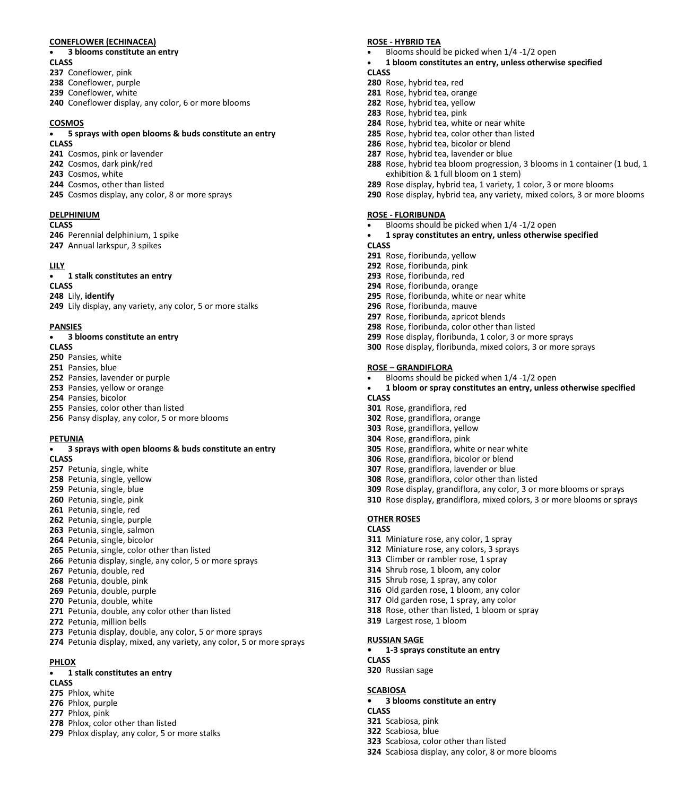#### **CONEFLOWER (ECHINACEA)**

#### • **3 blooms constitute an entry**

- **CLASS**
- Coneflower, pink
- Coneflower, purple
- Coneflower, white
- Coneflower display, any color, 6 or more blooms

#### **COSMOS**

# • **5 sprays with open blooms & buds constitute an entry**

- **CLASS**
- Cosmos, pink or lavender
- Cosmos, dark pink/red
- Cosmos, white
- Cosmos, other than listed
- Cosmos display, any color, 8 or more sprays

#### **DELPHINIUM**

#### **CLASS**

Perennial delphinium, 1 spike

Annual larkspur, 3 spikes

#### **LILY**

• **1 stalk constitutes an entry**

# **CLASS**

 Lily, **identify** Lily display, any variety, any color, 5 or more stalks

#### **PANSIES**

#### • **3 blooms constitute an entry**

#### **CLASS**

- Pansies, white
- Pansies, blue
- Pansies, lavender or purple
- Pansies, yellow or orange
- Pansies, bicolor
- Pansies, color other than listed
- Pansy display, any color, 5 or more blooms

#### **PETUNIA**

#### • **3 sprays with open blooms & buds constitute an entry CLASS**

- Petunia, single, white
- Petunia, single, yellow
- Petunia, single, blue
- Petunia, single, pink
- Petunia, single, red Petunia, single, purple
- Petunia, single, salmon
- 
- Petunia, single, bicolor
- Petunia, single, color other than listed
- Petunia display, single, any color, 5 or more sprays
- Petunia, double, red
- Petunia, double, pink
- Petunia, double, purple Petunia, double, white
- Petunia, double, any color other than listed
- Petunia, million bells
- 
- Petunia display, double, any color, 5 or more sprays
- Petunia display, mixed, any variety, any color, 5 or more sprays

#### **PHLOX**

#### • **1 stalk constitutes an entry**

# **CLASS**

- Phlox, white
- Phlox, purple
- Phlox, pink
- Phlox, color other than listed
- Phlox display, any color, 5 or more stalks

#### **ROSE - HYBRID TEA**

- Blooms should be picked when 1/4 -1/2 open
- **1 bloom constitutes an entry, unless otherwise specified CLASS**
- 
- Rose, hybrid tea, red Rose, hybrid tea, orange
- Rose, hybrid tea, yellow
- Rose, hybrid tea, pink
- Rose, hybrid tea, white or near white
- Rose, hybrid tea, color other than listed
- Rose, hybrid tea, bicolor or blend
- Rose, hybrid tea, lavender or blue
- Rose, hybrid tea bloom progression, 3 blooms in 1 container (1 bud, 1 exhibition & 1 full bloom on 1 stem)
- Rose display, hybrid tea, 1 variety, 1 color, 3 or more blooms
- Rose display, hybrid tea, any variety, mixed colors, 3 or more blooms

#### **ROSE - FLORIBUNDA**

- Blooms should be picked when 1/4 -1/2 open
- **1 spray constitutes an entry, unless otherwise specified**
- **CLASS**
- Rose, floribunda, yellow
- Rose, floribunda, pink
- Rose, floribunda, red
- Rose, floribunda, orange
- Rose, floribunda, white or near white
- Rose, floribunda, mauve
- Rose, floribunda, apricot blends
- Rose, floribunda, color other than listed
- Rose display, floribunda, 1 color, 3 or more sprays
- Rose display, floribunda, mixed colors, 3 or more sprays

#### **ROSE – GRANDIFLORA**

- Blooms should be picked when 1/4 -1/2 open
- **1 bloom or spray constitutes an entry, unless otherwise specified CLASS**

 Rose display, grandiflora, any color, 3 or more blooms or sprays Rose display, grandiflora, mixed colors, 3 or more blooms or sprays

- Rose, grandiflora, red
- Rose, grandiflora, orange
- Rose, grandiflora, yellow
- Rose, grandiflora, pink

Largest rose, 1 bloom

**• 1-3 sprays constitute an entry**

**• 3 blooms constitute an entry**

Scabiosa, color other than listed

Scabiosa display, any color, 8 or more blooms

**RUSSIAN SAGE**

Russian sage

 Scabiosa, pink Scabiosa, blue

**CLASS**

**CLASS**

**SCABIOSA**

**OTHER ROSES CLASS**

- Rose, grandiflora, white or near white
- Rose, grandiflora, bicolor or blend
- Rose, grandiflora, lavender or blue

 Miniature rose, any color, 1 spray Miniature rose, any colors, 3 sprays Climber or rambler rose, 1 spray Shrub rose, 1 bloom, any color Shrub rose, 1 spray, any color Old garden rose, 1 bloom, any color Old garden rose, 1 spray, any color Rose, other than listed, 1 bloom or spray

Rose, grandiflora, color other than listed